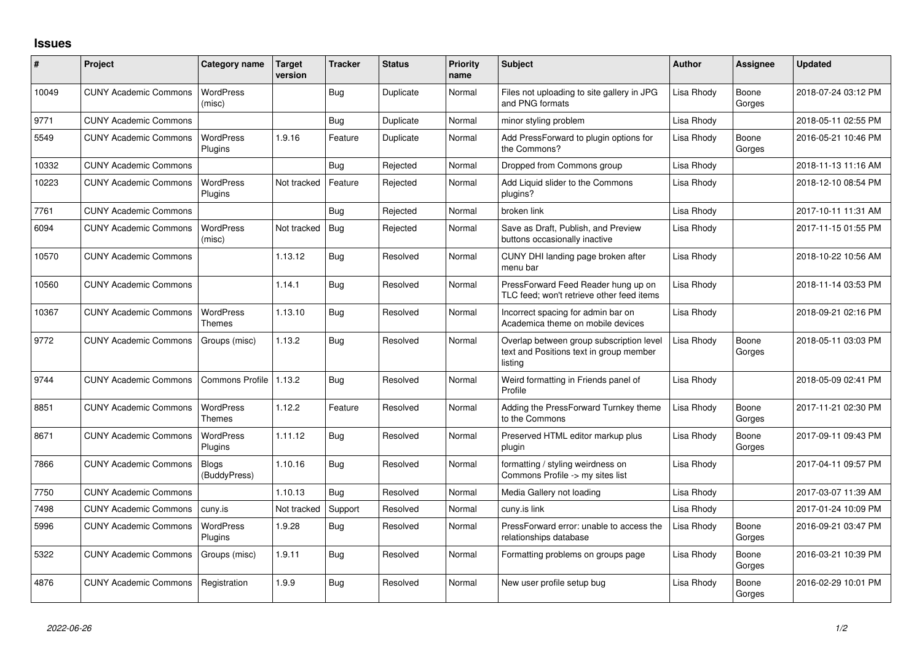## **Issues**

| #     | Project                      | Category name                | Target<br>version | <b>Tracker</b> | <b>Status</b> | <b>Priority</b><br>name | <b>Subject</b>                                                                                 | <b>Author</b> | Assignee        | <b>Updated</b>      |
|-------|------------------------------|------------------------------|-------------------|----------------|---------------|-------------------------|------------------------------------------------------------------------------------------------|---------------|-----------------|---------------------|
| 10049 | <b>CUNY Academic Commons</b> | <b>WordPress</b><br>(misc)   |                   | Bug            | Duplicate     | Normal                  | Files not uploading to site gallery in JPG<br>and PNG formats                                  | Lisa Rhody    | Boone<br>Gorges | 2018-07-24 03:12 PM |
| 9771  | <b>CUNY Academic Commons</b> |                              |                   | Bug            | Duplicate     | Normal                  | minor styling problem                                                                          | Lisa Rhody    |                 | 2018-05-11 02:55 PM |
| 5549  | <b>CUNY Academic Commons</b> | <b>WordPress</b><br>Plugins  | 1.9.16            | Feature        | Duplicate     | Normal                  | Add PressForward to plugin options for<br>the Commons?                                         | Lisa Rhody    | Boone<br>Gorges | 2016-05-21 10:46 PM |
| 10332 | <b>CUNY Academic Commons</b> |                              |                   | Bug            | Rejected      | Normal                  | Dropped from Commons group                                                                     | Lisa Rhody    |                 | 2018-11-13 11:16 AM |
| 10223 | <b>CUNY Academic Commons</b> | <b>WordPress</b><br>Plugins  | Not tracked       | Feature        | Rejected      | Normal                  | Add Liquid slider to the Commons<br>plugins?                                                   | Lisa Rhody    |                 | 2018-12-10 08:54 PM |
| 7761  | <b>CUNY Academic Commons</b> |                              |                   | Bug            | Rejected      | Normal                  | broken link                                                                                    | Lisa Rhody    |                 | 2017-10-11 11:31 AM |
| 6094  | <b>CUNY Academic Commons</b> | <b>WordPress</b><br>(misc)   | Not tracked       | Bug            | Rejected      | Normal                  | Save as Draft, Publish, and Preview<br>buttons occasionally inactive                           | Lisa Rhody    |                 | 2017-11-15 01:55 PM |
| 10570 | <b>CUNY Academic Commons</b> |                              | 1.13.12           | Bug            | Resolved      | Normal                  | CUNY DHI landing page broken after<br>menu bar                                                 | Lisa Rhody    |                 | 2018-10-22 10:56 AM |
| 10560 | <b>CUNY Academic Commons</b> |                              | 1.14.1            | Bug            | Resolved      | Normal                  | PressForward Feed Reader hung up on<br>TLC feed; won't retrieve other feed items               | Lisa Rhody    |                 | 2018-11-14 03:53 PM |
| 10367 | <b>CUNY Academic Commons</b> | WordPress<br>Themes          | 1.13.10           | Bug            | Resolved      | Normal                  | Incorrect spacing for admin bar on<br>Academica theme on mobile devices                        | Lisa Rhody    |                 | 2018-09-21 02:16 PM |
| 9772  | <b>CUNY Academic Commons</b> | Groups (misc)                | 1.13.2            | Bug            | Resolved      | Normal                  | Overlap between group subscription level<br>text and Positions text in group member<br>listing | Lisa Rhody    | Boone<br>Gorges | 2018-05-11 03:03 PM |
| 9744  | <b>CUNY Academic Commons</b> | <b>Commons Profile</b>       | 1.13.2            | Bug            | Resolved      | Normal                  | Weird formatting in Friends panel of<br>Profile                                                | Lisa Rhody    |                 | 2018-05-09 02:41 PM |
| 8851  | <b>CUNY Academic Commons</b> | <b>WordPress</b><br>Themes   | 1.12.2            | Feature        | Resolved      | Normal                  | Adding the PressForward Turnkey theme<br>to the Commons                                        | Lisa Rhody    | Boone<br>Gorges | 2017-11-21 02:30 PM |
| 8671  | <b>CUNY Academic Commons</b> | <b>WordPress</b><br>Plugins  | 1.11.12           | Bug            | Resolved      | Normal                  | Preserved HTML editor markup plus<br>plugin                                                    | Lisa Rhody    | Boone<br>Gorges | 2017-09-11 09:43 PM |
| 7866  | <b>CUNY Academic Commons</b> | <b>Blogs</b><br>(BuddyPress) | 1.10.16           | Bug            | Resolved      | Normal                  | formatting / styling weirdness on<br>Commons Profile -> my sites list                          | Lisa Rhody    |                 | 2017-04-11 09:57 PM |
| 7750  | <b>CUNY Academic Commons</b> |                              | 1.10.13           | Bug            | Resolved      | Normal                  | Media Gallery not loading                                                                      | Lisa Rhody    |                 | 2017-03-07 11:39 AM |
| 7498  | <b>CUNY Academic Commons</b> | cuny.is                      | Not tracked       | Support        | Resolved      | Normal                  | cuny.is link                                                                                   | Lisa Rhody    |                 | 2017-01-24 10:09 PM |
| 5996  | <b>CUNY Academic Commons</b> | WordPress<br>Plugins         | 1.9.28            | Bug            | Resolved      | Normal                  | PressForward error: unable to access the<br>relationships database                             | Lisa Rhody    | Boone<br>Gorges | 2016-09-21 03:47 PM |
| 5322  | <b>CUNY Academic Commons</b> | Groups (misc)                | 1.9.11            | <b>Bug</b>     | Resolved      | Normal                  | Formatting problems on groups page                                                             | Lisa Rhody    | Boone<br>Gorges | 2016-03-21 10:39 PM |
| 4876  | <b>CUNY Academic Commons</b> | Registration                 | 1.9.9             | Bug            | Resolved      | Normal                  | New user profile setup bug                                                                     | Lisa Rhody    | Boone<br>Gorges | 2016-02-29 10:01 PM |